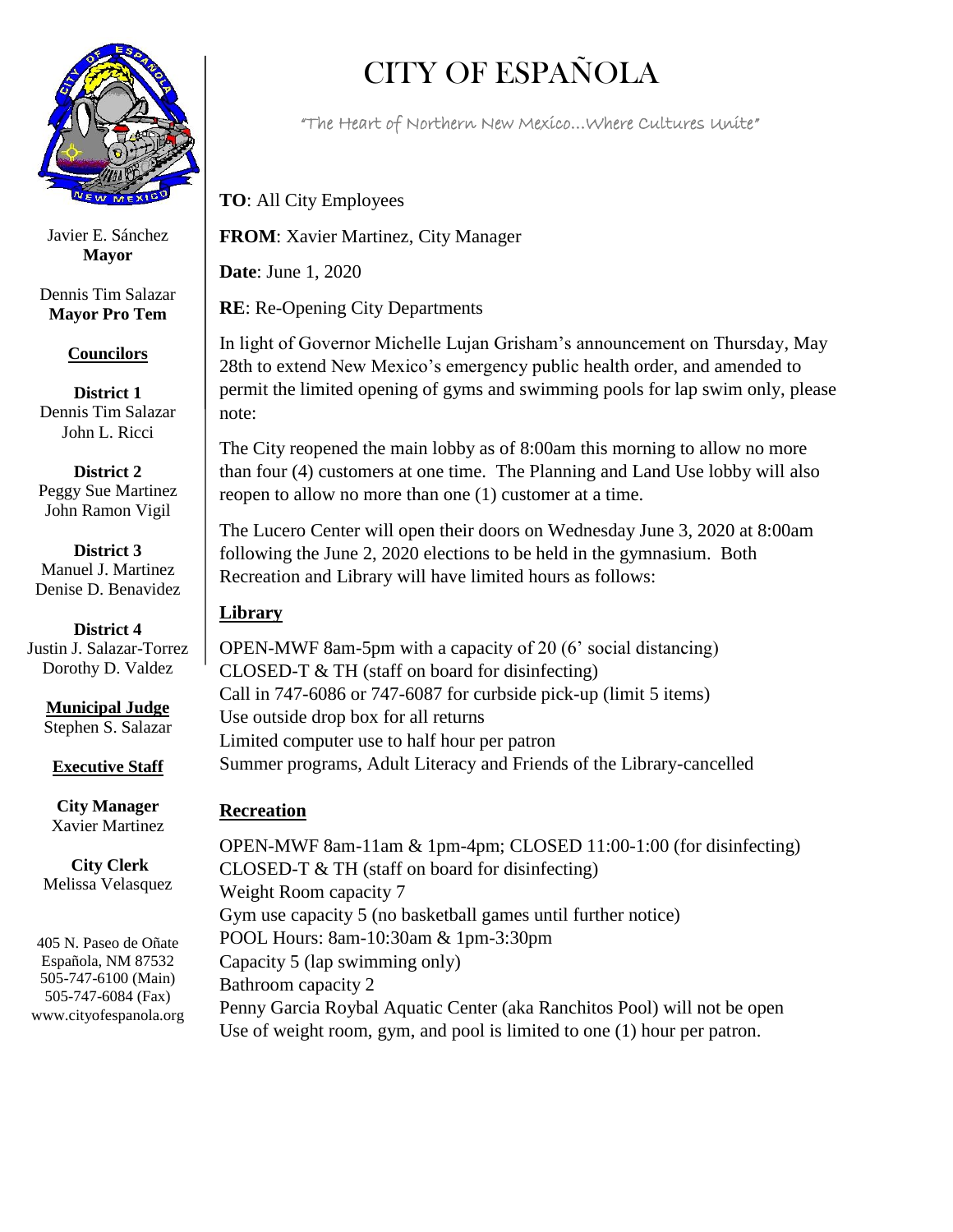

Javier E. Sánchez **Mayor**

Dennis Tim Salazar **Mayor Pro Tem**

## **Councilors**

**District 1** Dennis Tim Salazar John L. Ricci

**District 2** Peggy Sue Martinez John Ramon Vigil

**District 3** Manuel J. Martinez Denise D. Benavidez

**District 4** Justin J. Salazar-Torrez Dorothy D. Valdez

> **Municipal Judge** Stephen S. Salazar

**Executive Staff**

**City Manager** Xavier Martinez

**City Clerk** Melissa Velasquez

405 N. Paseo de Oñate Española, NM 87532 505-747-6100 (Main) 505-747-6084 (Fax) www.cityofespanola.org

## CITY OF ESPAÑOLA

"The Heart of Northern New Mexico…Where Cultures Unite"

**TO**: All City Employees

**FROM**: Xavier Martinez, City Manager

**Date**: June 1, 2020

**RE**: Re-Opening City Departments

In light of Governor Michelle Lujan Grisham's announcement on Thursday, May 28th to extend New Mexico's emergency public health order, and amended to permit the limited opening of gyms and swimming pools for lap swim only, please note:

The City reopened the main lobby as of 8:00am this morning to allow no more than four (4) customers at one time. The Planning and Land Use lobby will also reopen to allow no more than one (1) customer at a time.

The Lucero Center will open their doors on Wednesday June 3, 2020 at 8:00am following the June 2, 2020 elections to be held in the gymnasium. Both Recreation and Library will have limited hours as follows:

## **Library**

OPEN-MWF 8am-5pm with a capacity of 20 (6' social distancing) CLOSED-T & TH (staff on board for disinfecting) Call in 747-6086 or 747-6087 for curbside pick-up (limit 5 items) Use outside drop box for all returns Limited computer use to half hour per patron Summer programs, Adult Literacy and Friends of the Library-cancelled

## **Recreation**

OPEN-MWF 8am-11am & 1pm-4pm; CLOSED 11:00-1:00 (for disinfecting) CLOSED-T  $&$  TH (staff on board for disinfecting) Weight Room capacity 7 Gym use capacity 5 (no basketball games until further notice) POOL Hours: 8am-10:30am & 1pm-3:30pm Capacity 5 (lap swimming only) Bathroom capacity 2 Penny Garcia Roybal Aquatic Center (aka Ranchitos Pool) will not be open Use of weight room, gym, and pool is limited to one (1) hour per patron.